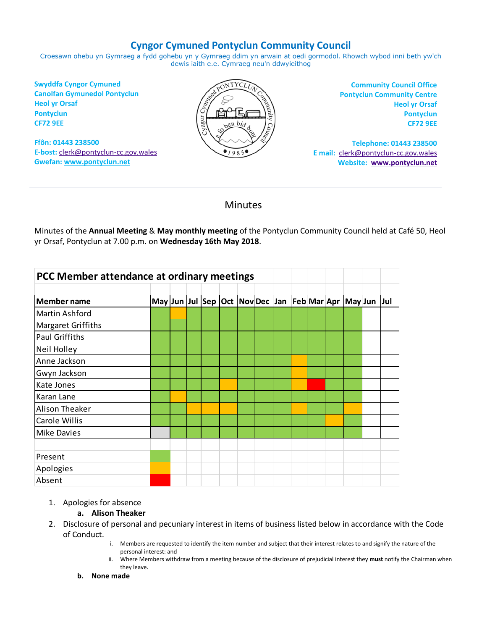# **Cyngor Cymuned Pontyclun Community Council**

Croesawn ohebu yn Gymraeg a fydd gohebu yn y Gymraeg ddim yn arwain at oedi gormodol. Rhowch wybod inni beth yw'ch dewis iaith e.e. Cymraeg neu'n ddwyieithog

**Swyddfa Cyngor Cymuned Canolfan Gymunedol Pontyclun Heol yr Orsaf Pontyclun CF72 9EE**

**Ffôn: 01443 238500 E-bost:** [clerk@pontyclun-cc.gov.wales](mailto:clerk@pontyclun-cc.gov.wales) **Gwefan[: www.pontyclun.net](http://www.pontyclun.net/)** 



**Community Council Office Pontyclun Community Centre Heol yr Orsaf Pontyclun CF72 9EE**

**Telephone: 01443 238500 E mail:** [clerk@pontyclun-cc.gov.wales](mailto:clerk@pontyclun-cc.gov.wales)  **Website: [www.pontyclun.net](http://www.pontyclun.net/)**

# Minutes

Minutes of the **Annual Meeting** & **May monthly meeting** of the Pontyclun Community Council held at Café 50, Heol yr Orsaf, Pontyclun at 7.00 p.m. on **Wednesday 16th May 2018**.

| PCC Member attendance at ordinary meetings                                                                                                                                                                                                                                                                                                                                                                                                                                    |  |  |  |  |  |  |  |  |  |                                                         |  |
|-------------------------------------------------------------------------------------------------------------------------------------------------------------------------------------------------------------------------------------------------------------------------------------------------------------------------------------------------------------------------------------------------------------------------------------------------------------------------------|--|--|--|--|--|--|--|--|--|---------------------------------------------------------|--|
|                                                                                                                                                                                                                                                                                                                                                                                                                                                                               |  |  |  |  |  |  |  |  |  |                                                         |  |
| Member name                                                                                                                                                                                                                                                                                                                                                                                                                                                                   |  |  |  |  |  |  |  |  |  | May Jun Jul Sep Oct Nov Dec Jan Feb Mar Apr May Jun Jul |  |
| <b>Martin Ashford</b>                                                                                                                                                                                                                                                                                                                                                                                                                                                         |  |  |  |  |  |  |  |  |  |                                                         |  |
| Margaret Griffiths                                                                                                                                                                                                                                                                                                                                                                                                                                                            |  |  |  |  |  |  |  |  |  |                                                         |  |
| <b>Paul Griffiths</b>                                                                                                                                                                                                                                                                                                                                                                                                                                                         |  |  |  |  |  |  |  |  |  |                                                         |  |
| Neil Holley                                                                                                                                                                                                                                                                                                                                                                                                                                                                   |  |  |  |  |  |  |  |  |  |                                                         |  |
| Anne Jackson                                                                                                                                                                                                                                                                                                                                                                                                                                                                  |  |  |  |  |  |  |  |  |  |                                                         |  |
| Gwyn Jackson                                                                                                                                                                                                                                                                                                                                                                                                                                                                  |  |  |  |  |  |  |  |  |  |                                                         |  |
| Kate Jones                                                                                                                                                                                                                                                                                                                                                                                                                                                                    |  |  |  |  |  |  |  |  |  |                                                         |  |
| Karan Lane                                                                                                                                                                                                                                                                                                                                                                                                                                                                    |  |  |  |  |  |  |  |  |  |                                                         |  |
| <b>Alison Theaker</b>                                                                                                                                                                                                                                                                                                                                                                                                                                                         |  |  |  |  |  |  |  |  |  |                                                         |  |
| <b>Carole Willis</b>                                                                                                                                                                                                                                                                                                                                                                                                                                                          |  |  |  |  |  |  |  |  |  |                                                         |  |
| <b>Mike Davies</b>                                                                                                                                                                                                                                                                                                                                                                                                                                                            |  |  |  |  |  |  |  |  |  |                                                         |  |
|                                                                                                                                                                                                                                                                                                                                                                                                                                                                               |  |  |  |  |  |  |  |  |  |                                                         |  |
| Present                                                                                                                                                                                                                                                                                                                                                                                                                                                                       |  |  |  |  |  |  |  |  |  |                                                         |  |
| Apologies                                                                                                                                                                                                                                                                                                                                                                                                                                                                     |  |  |  |  |  |  |  |  |  |                                                         |  |
| Absent                                                                                                                                                                                                                                                                                                                                                                                                                                                                        |  |  |  |  |  |  |  |  |  |                                                         |  |
| Apologies for absence<br>1.<br>a. Alison Theaker<br>Disclosure of personal and pecuniary interest in items of business listed below in accordance w<br>2.<br>of Conduct.<br>Members are requested to identify the item number and subject that their interest relates to and signify the<br>i.<br>personal interest: and<br>Where Members withdraw from a meeting because of the disclosure of prejudicial interest they must notify<br>ii.<br>they leave.<br>b.<br>None made |  |  |  |  |  |  |  |  |  |                                                         |  |

### 1. Apologies for absence

### **a. Alison Theaker**

- 2. Disclosure of personal and pecuniary interest in items of business listed below in accordance with the Code of Conduct.
	- i. Members are requested to identify the item number and subject that their interest relates to and signify the nature of the personal interest: and
	- ii. Where Members withdraw from a meeting because of the disclosure of prejudicial interest they **must** notify the Chairman when they leave.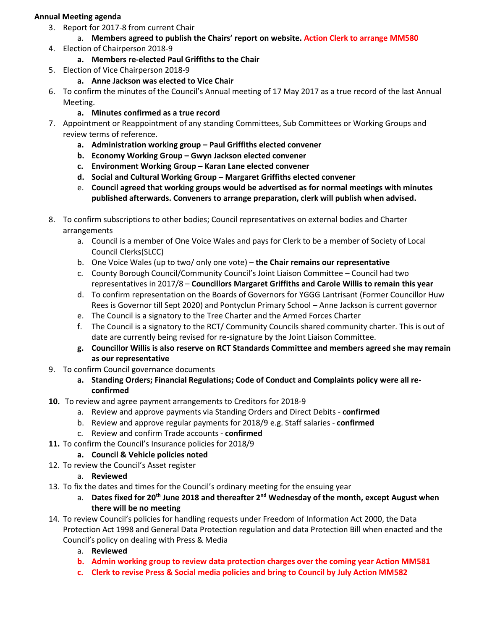## **Annual Meeting agenda**

- 3. Report for 2017-8 from current Chair
	- a. **Members agreed to publish the Chairs' report on website. Action Clerk to arrange MM580**
- 4. Election of Chairperson 2018-9
	- **a. Members re-elected Paul Griffiths to the Chair**
- 5. Election of Vice Chairperson 2018-9
	- **a. Anne Jackson was elected to Vice Chair**
- 6. To confirm the minutes of the Council's Annual meeting of 17 May 2017 as a true record of the last Annual Meeting.
	- **a. Minutes confirmed as a true record**
- 7. Appointment or Reappointment of any standing Committees, Sub Committees or Working Groups and review terms of reference.
	- **a. Administration working group – Paul Griffiths elected convener**
	- **b. Economy Working Group – Gwyn Jackson elected convener**
	- **c. Environment Working Group – Karan Lane elected convener**
	- **d. Social and Cultural Working Group – Margaret Griffiths elected convener**
	- e. **Council agreed that working groups would be advertised as for normal meetings with minutes published afterwards. Conveners to arrange preparation, clerk will publish when advised.**
- 8. To confirm subscriptions to other bodies; Council representatives on external bodies and Charter arrangements
	- a. Council is a member of One Voice Wales and pays for Clerk to be a member of Society of Local Council Clerks(SLCC)
	- b. One Voice Wales (up to two/ only one vote) **the Chair remains our representative**
	- c. County Borough Council/Community Council's Joint Liaison Committee Council had two representatives in 2017/8 – **Councillors Margaret Griffiths and Carole Willis to remain this year**
	- d. To confirm representation on the Boards of Governors for YGGG Lantrisant (Former Councillor Huw Rees is Governor till Sept 2020) and Pontyclun Primary School – Anne Jackson is current governor
	- e. The Council is a signatory to the Tree Charter and the Armed Forces Charter
	- f. The Council is a signatory to the RCT/ Community Councils shared community charter. This is out of date are currently being revised for re-signature by the Joint Liaison Committee.
	- **g. Councillor Willis is also reserve on RCT Standards Committee and members agreed she may remain as our representative**
- 9. To confirm Council governance documents
	- **a. Standing Orders; Financial Regulations; Code of Conduct and Complaints policy were all reconfirmed**
- **10.** To review and agree payment arrangements to Creditors for 2018-9
	- a. Review and approve payments via Standing Orders and Direct Debits **confirmed**
	- b. Review and approve regular payments for 2018/9 e.g. Staff salaries **confirmed**
	- c. Review and confirm Trade accounts **confirmed**
- **11.** To confirm the Council's Insurance policies for 2018/9
	- **a. Council & Vehicle policies noted**
- 12. To review the Council's Asset register

## a. **Reviewed**

- 13. To fix the dates and times for the Council's ordinary meeting for the ensuing year
	- a. **Dates fixed for 20th June 2018 and thereafter 2nd Wednesday of the month, except August when there will be no meeting**
- 14. To review Council's policies for handling requests under Freedom of Information Act 2000, the Data Protection Act 1998 and General Data Protection regulation and data Protection Bill when enacted and the Council's policy on dealing with Press & Media
	- a. **Reviewed**
	- **b. Admin working group to review data protection charges over the coming year Action MM581**
	- **c. Clerk to revise Press & Social media policies and bring to Council by July Action MM582**